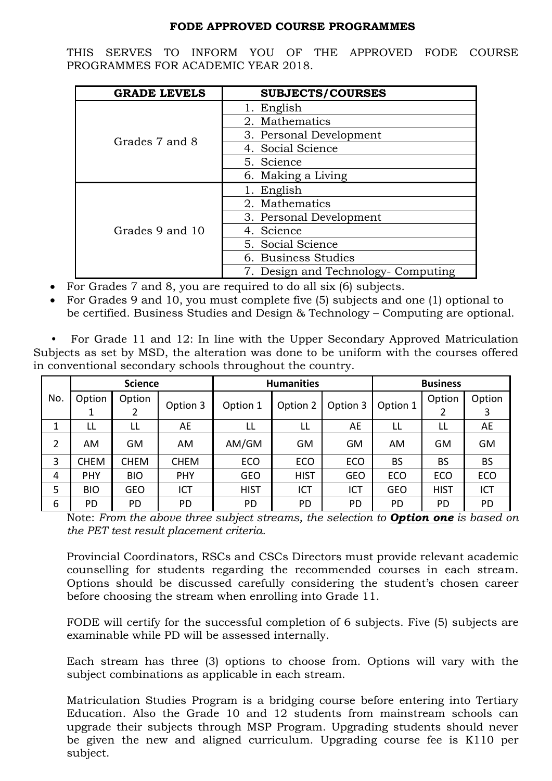## **FODE APPROVED COURSE PROGRAMMES**

THIS SERVES TO INFORM YOU OF THE APPROVED FODE COURSE PROGRAMMES FOR ACADEMIC YEAR 2018.

| <b>GRADE LEVELS</b> | <b>SUBJECTS/COURSES</b>             |  |  |
|---------------------|-------------------------------------|--|--|
|                     | 1. English                          |  |  |
|                     | 2. Mathematics                      |  |  |
| Grades 7 and 8      | 3. Personal Development             |  |  |
|                     | 4. Social Science                   |  |  |
|                     | 5. Science                          |  |  |
|                     | 6. Making a Living                  |  |  |
|                     | 1. English                          |  |  |
|                     | 2. Mathematics                      |  |  |
|                     | 3. Personal Development             |  |  |
| Grades 9 and 10     | 4. Science                          |  |  |
|                     | 5. Social Science                   |  |  |
|                     | 6. Business Studies                 |  |  |
|                     | 7. Design and Technology- Computing |  |  |

- For Grades 7 and 8, you are required to do all six (6) subjects.
- For Grades 9 and 10, you must complete five (5) subjects and one (1) optional to be certified. Business Studies and Design & Technology – Computing are optional.

 • For Grade 11 and 12: In line with the Upper Secondary Approved Matriculation Subjects as set by MSD, the alteration was done to be uniform with the courses offered in conventional secondary schools throughout the country.

|     | <b>Science</b> |             |             | <b>Humanities</b> |             |            | <b>Business</b> |             |           |
|-----|----------------|-------------|-------------|-------------------|-------------|------------|-----------------|-------------|-----------|
| No. | Option         | Option      |             |                   |             | Option 3   | Option 1        | Option      | Option    |
|     |                | ۷           | Option 3    | Option 1          | Option 2    |            |                 | 2           | 3         |
| 1   | LL             | LL          | AE          | LL                | LL          | AE         | LL              | LL          | AE        |
| 2   | <b>AM</b>      | <b>GM</b>   | AM          | AM/GM             | <b>GM</b>   | GM         | AM.             | GM          | <b>GM</b> |
| 3   | <b>CHEM</b>    | <b>CHEM</b> | <b>CHEM</b> | <b>ECO</b>        | <b>ECO</b>  | <b>ECO</b> | <b>BS</b>       | <b>BS</b>   | <b>BS</b> |
| 4   | <b>PHY</b>     | <b>BIO</b>  | <b>PHY</b>  | <b>GEO</b>        | <b>HIST</b> | <b>GEO</b> | <b>ECO</b>      | <b>ECO</b>  | ECO       |
| 5   | <b>BIO</b>     | <b>GEO</b>  | ICT         | <b>HIST</b>       | ICT         | <b>ICT</b> | <b>GEO</b>      | <b>HIST</b> | ICT       |
| 6   | PD             | PD.         | PD          | PD                | PD          | PD         | PD              | PD          | <b>PD</b> |

Note: *From the above three subject streams, the selection to Option one is based on the PET test result placement criteria.*

Provincial Coordinators, RSCs and CSCs Directors must provide relevant academic counselling for students regarding the recommended courses in each stream. Options should be discussed carefully considering the student's chosen career before choosing the stream when enrolling into Grade 11.

FODE will certify for the successful completion of 6 subjects. Five (5) subjects are examinable while PD will be assessed internally.

Each stream has three (3) options to choose from. Options will vary with the subject combinations as applicable in each stream.

Matriculation Studies Program is a bridging course before entering into Tertiary Education. Also the Grade 10 and 12 students from mainstream schools can upgrade their subjects through MSP Program. Upgrading students should never be given the new and aligned curriculum. Upgrading course fee is K110 per subject.